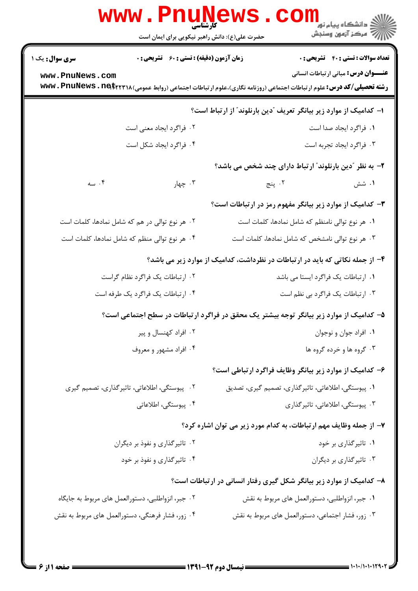|                 | www.PnuNews                                                                                                              |                                                                               |                                                          |                                              |
|-----------------|--------------------------------------------------------------------------------------------------------------------------|-------------------------------------------------------------------------------|----------------------------------------------------------|----------------------------------------------|
|                 | حضرت علی(ع): دانش راهبر نیکویی برای ایمان است                                                                            |                                                                               |                                                          |                                              |
| سری سوال: یک ۱  | <b>زمان آزمون (دقیقه) : تستی : 60 تشریحی : 0</b>                                                                         |                                                                               |                                                          | <b>تعداد سوالات : تستی : 40 - تشریحی : 0</b> |
| www.PnuNews.com | <b>رشته تحصیلی/کد درس:</b> علوم ارتباطات اجتماعی (روزنامه نگاری)،علوم ارتباطات اجتماعی (روابط عمومی) www . PnuNews . net |                                                                               |                                                          | <b>عنـــوان درس:</b> مبانی ارتباطات انسانی   |
|                 |                                                                                                                          | ا– کدامیک از موارد زیر بیانگر تعریف "دین بارنلوند" از ارتباط است؟             |                                                          |                                              |
|                 | ۰۲ فراگرد ایجاد معنی است                                                                                                 |                                                                               |                                                          | ٠١. فراگرد ايجاد صدا است                     |
|                 | ۴. فراگرد ایجاد شکل است                                                                                                  |                                                                               |                                                          | ۰۳ فراگرد ایجاد تجربه است                    |
|                 |                                                                                                                          |                                                                               | ۲- به نظر آدین بارنلوندآ ارتباط دارای چند شخص می باشد؟   |                                              |
| ۰۴ سه           | ۰۳ چهار                                                                                                                  |                                                                               | ۰۲ پنج                                                   | ۰۱ شش                                        |
|                 |                                                                                                                          |                                                                               | ۳- کدامیک از موارد زیر بیانگر مفهوم رمز در ارتباطات است؟ |                                              |
|                 | ۰۲ هر نوع توالی در هم که شامل نمادها، کلمات است                                                                          |                                                                               | ۰۱ هر نوع توالی نامنظم که شامل نمادها، کلمات است         |                                              |
|                 | ۰۴ هر نوع توالی منظم که شامل نمادها، کلمات است                                                                           |                                                                               | ۰۳ هر نوع توالی نامشخص که شامل نمادها، کلمات است         |                                              |
|                 |                                                                                                                          | ۴- از جمله نکاتی که باید در ارتباطات در نظرداشت، کدامیک از موارد زیر می باشد؟ |                                                          |                                              |
|                 | ۰۲ ارتباطات یک فراگرد نظام گراست                                                                                         |                                                                               | ٠١ ارتباطات يک فراگرد ايستا مي باشد                      |                                              |
|                 | ۰۴ ارتباطات یک فراگرد یک طرفه است                                                                                        |                                                                               | ۰۳ ارتباطات یک فراگرد بی نظم است                         |                                              |
|                 | ۵– کدامیک از موارد زیر بیانگر توجه بیشتر یک محقق در فراگرد ارتباطات در سطح اجتماعی است؟                                  |                                                                               |                                                          |                                              |
|                 | ۰۲ افراد کهنسال و پیر                                                                                                    |                                                                               |                                                          | ٠١. افراد جوان و نوجوان                      |
|                 | ۰۴ افراد مشهور و معروف                                                                                                   |                                                                               |                                                          | ۰۳ گروه ها و خرده گروه ها                    |
|                 |                                                                                                                          |                                                                               | ۶– کدامیک از موارد زیر بیانگر وظایف فراگرد ارتباطی است؟  |                                              |
|                 | ۰۲ پیوستگی، اطلاعاتی، تاثیرگذاری، تصمیم گیری                                                                             |                                                                               | ۰۱ پیوستگی، اطلاعاتی، تاثیر گذاری، تصمیم گیری، تصدیق     |                                              |
|                 | ۰۴ پیوستگی، اطلاعاتی                                                                                                     |                                                                               | ۰۳ پیوستگی، اطلاعاتی، تاثیر گذاری                        |                                              |
|                 |                                                                                                                          | ۷- از جمله وظایف مهم ارتباطات، به کدام مورد زیر می توان اشاره کرد؟            |                                                          |                                              |
|                 | ۰۲ تاثیرگذاری و نفوذ بر دیگران                                                                                           |                                                                               |                                                          | ۰۱ تاثیرگذاری بر خود                         |
|                 | ۰۴ تاثیر گذاری و نفوذ بر خود                                                                                             |                                                                               |                                                          | ۰۳ تاثیرگذاری بر دیگران                      |
|                 |                                                                                                                          | ۸– کدامیک از موارد زیر بیانگر شکل گیری رفتار انسانی در ارتباطات است؟          |                                                          |                                              |
|                 | ۰۲ جبر، انزواطلبی، دستورالعمل های مربوط به جایگاه                                                                        |                                                                               | ۰۱ جبر، انزواطلبي، دستورالعمل هاي مربوط به نقش           |                                              |
|                 | ۰۴ زور، فشار فرهنگی، دستورالعمل های مربوط به نقش                                                                         |                                                                               | ۰۳ زور، فشار اجتماعی، دستورالعمل های مربوط به نقش        |                                              |
|                 |                                                                                                                          |                                                                               |                                                          |                                              |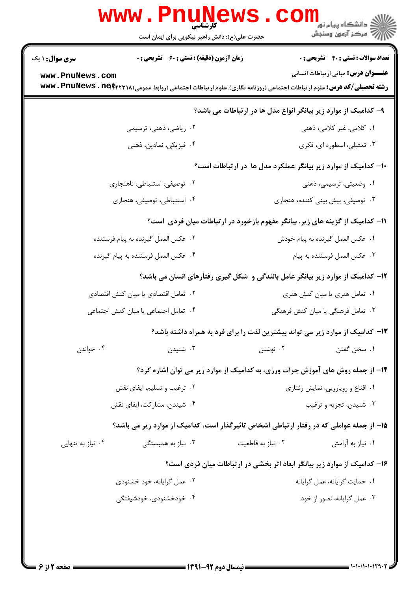|                                                                              | www.PnuNews<br>حضرت علی(ع): دانش راهبر نیکویی برای ایمان است                                                                                                                   |                                                                               | دانشگاه پيام نور¶<br>ا∰ مرکز آزمهن وسنجش                                                   |
|------------------------------------------------------------------------------|--------------------------------------------------------------------------------------------------------------------------------------------------------------------------------|-------------------------------------------------------------------------------|--------------------------------------------------------------------------------------------|
| <b>سری سوال : ۱ یک</b><br>www.PnuNews.com                                    | <b>زمان آزمون (دقیقه) : تستی : 60 ٪ تشریحی : 0</b><br><b>رشته تحصیلی/کد درس:</b> علوم ارتباطات اجتماعی (روزنامه نگاری)،علوم ارتباطات اجتماعی (روابط عمومی) www . PnuNews . net |                                                                               | <b>تعداد سوالات : تستي : 40 - تشريحي : 0</b><br><b>عنـــوان درس:</b> مبانی ارتباطات انسانی |
|                                                                              |                                                                                                                                                                                | ۹- کدامیک از موارد زیر بیانگر انواع مدل ها در ارتباطات می باشد؟               |                                                                                            |
|                                                                              | ۰۲ ریاضی، ذهنی، ترسیمی                                                                                                                                                         |                                                                               | ۰۱ کلامی، غیر کلامی، ذهنی                                                                  |
|                                                                              | ۰۴ فیزیکی، نمادین، ذهنی                                                                                                                                                        |                                                                               | ۰۳ تمثیلی، اسطوره ای، فکری                                                                 |
|                                                                              |                                                                                                                                                                                | ۱۰– کدامیک از موارد زیر بیانگر عملکرد مدل ها در ارتباطات است؟                 |                                                                                            |
|                                                                              | ۰۲ توصیفی، استنباطی، ناهنجاری                                                                                                                                                  |                                                                               | ۰۱ وضعیتی، ترسیمی، ذهنی                                                                    |
|                                                                              | ۰۴ استنباطي، توصيفي، هنجاري                                                                                                                                                    |                                                                               | ۰۳ توصیفی، پیش بینی کننده، هنجاری                                                          |
| 1۱- کدامیک از گزینه های زیر، بیانگر مفهوم بازخورد در ارتباطات میان فردی است؟ |                                                                                                                                                                                |                                                                               |                                                                                            |
|                                                                              | ۰۲ عکس العمل گیرنده به پیام فرستنده                                                                                                                                            |                                                                               | ٠١ عكس العمل كيرنده به پيام خودش                                                           |
|                                                                              | ۰۴ عكس العمل فرستنده به پيام گيرنده                                                                                                                                            |                                                                               | ۰۳ عكس العمل فرستنده به پيام                                                               |
|                                                                              | ۱۲- کدامیک از موارد زیر بیانگر عامل بالندگی و شکل گیری رفتارهای انسان می باشد؟                                                                                                 |                                                                               |                                                                                            |
|                                                                              | ۰۲ تعامل اقتصادی یا میان کنش اقتصادی                                                                                                                                           |                                                                               | ۰۱ تعامل هنری یا میان کنش هنری                                                             |
|                                                                              | ۰۴ تعامل اجتماعی یا میان کنش اجتماعی                                                                                                                                           |                                                                               | ۰۳ تعامل فرهنگی یا میان کنش فرهنگی                                                         |
|                                                                              |                                                                                                                                                                                | ۱۳- کدامیک از موارد زیر می تواند بیشترین لذت را برای فرد به همراه داشته باشد؟ |                                                                                            |
| ۰۴ خواندن                                                                    | ۰۳ شنیدن                                                                                                                                                                       | ۰۲ نوشتن                                                                      | ٠١ سخن گفتن                                                                                |
|                                                                              | ۱۴- از جمله روش های آموزش جرات ورزی، به کدامیک از موارد زیر می توان اشاره کرد؟                                                                                                 |                                                                               |                                                                                            |
|                                                                              | ۰۲ ترغیب و تسلیم، ایفای نقش                                                                                                                                                    |                                                                               | ۰۱ اقناع و رویارویی، نمایش رفتاری                                                          |
| ۰۴ شیندن، مشارکت، ایفای نقش                                                  |                                                                                                                                                                                | ۰۳ شنیدن، تجزیه و ترغیب                                                       |                                                                                            |
|                                                                              | ۱۵– از جمله عواملی که در رفتار ارتباطی اشخاص تاثیرگذار است، کدامیک از موارد زیر می باشد؟                                                                                       |                                                                               |                                                                                            |
| ۰۴ نیاز به تنهایی                                                            | ۰۳ نیاز به همبستگی                                                                                                                                                             | ۰۲ نیاز به قاطعیت                                                             | ۰۱ نیاز به آرامش                                                                           |
|                                                                              |                                                                                                                                                                                | ۱۶- کدامیک از موارد زیر بیانگر ابعاد اثر بخشی در ارتباطات میان فردی است؟      |                                                                                            |
|                                                                              | ۰۲ عمل گرایانه، خود خشنودی                                                                                                                                                     |                                                                               | ٠١ حمايت گرايانه، عمل گرايانه                                                              |
|                                                                              | ۰۴ خودخشنودی، خودشیفتگی                                                                                                                                                        |                                                                               | ۰۳ عمل گرایانه، تصور از خود                                                                |
|                                                                              |                                                                                                                                                                                |                                                                               |                                                                                            |
|                                                                              |                                                                                                                                                                                |                                                                               |                                                                                            |
|                                                                              |                                                                                                                                                                                |                                                                               |                                                                                            |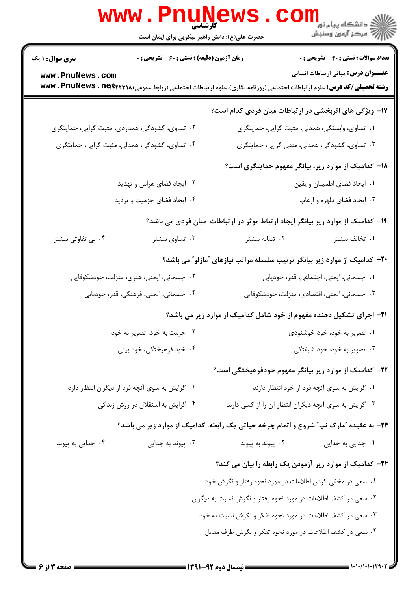|                        | <b>کارشناسی</b><br>حضرت علی(ع): دانش راهبر نیکویی برای ایمان است                      |                                                                | ر دانشگاه پيام نو <mark>ر .</mark><br>اگر دانشگاه پيام نور .<br>۱۳۸۸ -                                                                                                 |
|------------------------|---------------------------------------------------------------------------------------|----------------------------------------------------------------|------------------------------------------------------------------------------------------------------------------------------------------------------------------------|
| <b>سری سوال : ۱ یک</b> | زمان آزمون (دقیقه) : تستی : ۶۰٪ تشریحی : ۰                                            |                                                                | <b>تعداد سوالات : تستی : 40 - تشریحی : 0</b>                                                                                                                           |
| www.PnuNews.com        |                                                                                       |                                                                | <b>عنـــوان درس:</b> مبانی ارتباطات انسانی<br><b>رشته تحصیلی/کد درس:</b> علوم ارتباطات اجتماعی (روزنامه نگاری)،علوم ارتباطات اجتماعی (روابط عمومی) www . PnuNews . net |
|                        |                                                                                       |                                                                | ۱۷- ویژگی های اثربخشی در ارتباطات میان فردی کدام است؟                                                                                                                  |
|                        | ۰۲ تساوی، گشودگی، همدردی، مثبت گرایی، حمایتگری                                        |                                                                | ۰۱ تساوی، وابستگی، همدلی، مثبت گرایی، حمایتگری                                                                                                                         |
|                        | ۰۴ تساوی، گشودگی، همدلی، مثبت گرایی، حمایتگری                                         |                                                                | ۰۳ تساوی، گشودگی، همدلی، منفی گرایی، حمایتگری                                                                                                                          |
|                        |                                                                                       |                                                                | ۱۸- کدامیک از موارد زیر، بیانگر مفهوم حمایتگری است؟                                                                                                                    |
|                        | ۰۲ ایجاد فضای هراس و تهدید                                                            |                                                                | ۰۱ ایجاد فضای اطمینان و یقین                                                                                                                                           |
|                        | ۰۴ ایجاد فضای جزمیت و تردید                                                           |                                                                | ۰۳ ایجاد فضای دلهره و ارعاب                                                                                                                                            |
|                        |                                                                                       |                                                                | ۱۹- کدامیک از موارد زیر بیانگر ایجاد ارتباط موثر در ارتباطات ًمیان فردی می باشد؟                                                                                       |
| ۰۴ بی تفاوتی بیشتر     | ۰۳ تساوی بیشتر                                                                        | ۰۲ تشابه بیشتر                                                 | ٠١. تخالف بيشتر                                                                                                                                                        |
|                        |                                                                                       |                                                                | ۲۰- کدامیک از موارد زیر بیانگر ترتیب سلسله مراتب نیازهای "مازلو" می باشد؟                                                                                              |
|                        | ۰۲ جسمانی، ایمنی، هنری، منزلت، خودشکوفایی                                             |                                                                | ۰۱ جسمانی، ایمنی، اجتماعی، قدر، خودیابی                                                                                                                                |
|                        | ۰۴ جسمانی، ایمنی، فرهنگی، قدر، خودیابی                                                |                                                                | ۰۳ جسمانی، ایمنی، اقتصادی، منزلت، خودشکوفایی                                                                                                                           |
|                        |                                                                                       |                                                                | <b>۲۱</b> - اجزای تشکیل دهنده مفهوم از خود شامل کدامیک از موارد زیر می باشد؟                                                                                           |
|                        | ۰۲ حرمت به خود، تصویر به خود                                                          |                                                                | ۰۱ تصویر به خود، خود خوشنودی                                                                                                                                           |
|                        | ۰۴ خود فرهیختگی، خود بینی                                                             |                                                                | ۰۳ تصویر به خود، خود شیفتگی                                                                                                                                            |
|                        |                                                                                       |                                                                | <b>۲۲</b> – کدامیک از موارد زیر بیانگر مفهوم خودفرهیختگی است؟                                                                                                          |
|                        | ۰۲ گرایش به سوی آنچه فرد از دیگران انتظار دارد                                        |                                                                | ۰۱ گرایش به سوی آنچه فرد از خود انتظار دارند                                                                                                                           |
|                        | ۰۴ گرایش به استقلال در روش زندگی                                                      |                                                                | ۰۳ گرایش به سوی آنچه دیگران انتظار آن را از کسی دارند                                                                                                                  |
|                        | ۲۳- به عقیده آمارک نپآ شروع و اتمام چرخه حیاتی یک رابطه، کدامیک از موارد زیر می باشد؟ |                                                                |                                                                                                                                                                        |
| ۰۴ جدایی به پیوند      | ۰۳ پیوند به جدایی                                                                     | ۰۲ پیوند به پیوند                                              | ۰۱ جدایی به جدایی                                                                                                                                                      |
|                        |                                                                                       |                                                                | <b>۲۴</b> - کدامیک از موارد زیر آزمودن یک رابطه را بیان می کند؟                                                                                                        |
|                        |                                                                                       | ۰۱ سعی در مخفی کردن اطلاعات در مورد نحوه رفتار و نگرش خود      |                                                                                                                                                                        |
|                        |                                                                                       | ۰۲ سعی در کشف اطلاعات در مورد نحوه رفتار و نگرش نسبت به دیگران |                                                                                                                                                                        |
|                        |                                                                                       | ۰۳ سعی در کشف اطلاعات در مورد نحوه تفکر و نگرش نسبت به خود     |                                                                                                                                                                        |
|                        |                                                                                       | ۰۴ سعی در کشف اطلاعات در مورد نحوه تفکر و نگرش طرف مقابل       |                                                                                                                                                                        |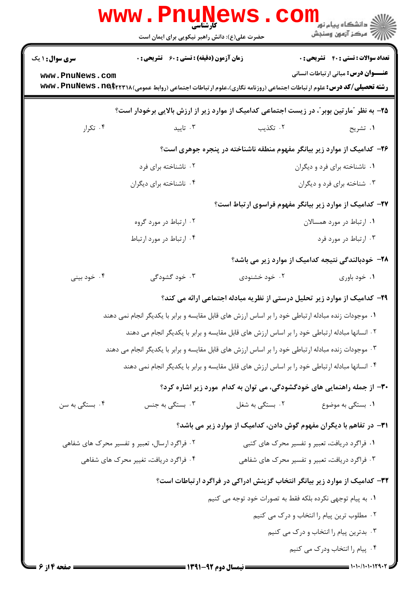|                                                                                                | www . Pn<br><b>کارشناسی</b><br>حضرت علی(ع): دانش راهبر نیکویی برای ایمان است                  |                                                                                                                          | ر دانشڪاه پيام نور ■<br>ا∛ مرکز آزمون وسنڊش  |
|------------------------------------------------------------------------------------------------|-----------------------------------------------------------------------------------------------|--------------------------------------------------------------------------------------------------------------------------|----------------------------------------------|
| <b>سری سوال : ۱ یک</b>                                                                         | <b>زمان آزمون (دقیقه) : تستی : 60 ٪ تشریحی : 0</b>                                            |                                                                                                                          | <b>تعداد سوالات : تستی : 40 - تشریحی : 0</b> |
| www.PnuNews.com                                                                                |                                                                                               | <b>رشته تحصیلی/کد درس:</b> علوم ارتباطات اجتماعی (روزنامه نگاری)،علوم ارتباطات اجتماعی (روابط عمومی) www . PnuNews . net | <b>عنـــوان درس:</b> مبانی ارتباطات انسانی   |
|                                                                                                |                                                                                               | ۲۵- به نظر "مارتین بوبر"، در زیست اجتماعی کدامیک از موارد زیر از ارزش بالایی برخودار است؟                                |                                              |
| ۰۴ تکرار                                                                                       | ۰۳ تاييد                                                                                      | ۰۲ تکذیب                                                                                                                 | ۰۱ تشریح                                     |
|                                                                                                |                                                                                               | ۲۶- کدامیک از موارد زیر بیانگر مفهوم منطقه ناشناخته در پنجره جوهری است؟                                                  |                                              |
|                                                                                                | ۰۲ ناشناخته برای فرد                                                                          |                                                                                                                          | ۰۱ ناشناخته برای فرد و دیگران                |
|                                                                                                | ۰۴ ناشناخته برای دیگران                                                                       |                                                                                                                          | ۰۳ شناخته برای فرد و دیگران                  |
|                                                                                                |                                                                                               | ۲۷– کدامیک از موارد زیر بیانگر مفهوم فراسوی ارتباط است؟                                                                  |                                              |
|                                                                                                | ۰۲ ارتباط در مورد گروه                                                                        |                                                                                                                          | ۰۱ ارتباط در مورد همسالان                    |
|                                                                                                | ۰۴ ارتباط در مورد ارتباط                                                                      |                                                                                                                          | ۰۳ ارتباط در مورد فرد                        |
|                                                                                                |                                                                                               | ۲۸– خودبالندگی نتیجه کدامیک از موارد زیر می باشد؟                                                                        |                                              |
| ۰۴ خود بینی                                                                                    | ۰۳ خود گشودگی                                                                                 | ۰۲ خود خشنودی                                                                                                            | ۰۱ خود باوري                                 |
|                                                                                                |                                                                                               | ۲۹- کدامیک از موارد زیر تحلیل درستی از نظریه مبادله اجتماعی ارائه می کند؟                                                |                                              |
|                                                                                                |                                                                                               | ۰۱ موجودات زنده مبادله ارتباطی خود را بر اساس ارزش های قابل مقایسه و برابر با یکدیگر انجام نمی دهند                      |                                              |
|                                                                                                | ۰۲ انسانها مبادله ارتباطی خود را بر اساس ارزش های قابل مقایسه و برابر با یکدیگر انجام می دهند |                                                                                                                          |                                              |
|                                                                                                |                                                                                               | ۰۳ موجودات زنده مبادله ارتباطی خود را بر اساس ارزش های قابل مقایسه و برابر با یکدیگر انجام می دهند                       |                                              |
| ۰۴ انسانها مبادله ارتباطی خود را بر اساس ارزش های قابل مقایسه و برابر با یکدیگر انجام نمی دهند |                                                                                               |                                                                                                                          |                                              |
|                                                                                                |                                                                                               | ۳۰- از جمله راهنمایی های خودگشودگی، می توان به کدام مورد زیر اشاره کرد؟                                                  |                                              |
| ۰۴ بستگی به سن                                                                                 | ۰۳ بستگی به جنس                                                                               | ۰۲ بستگی به شغل                                                                                                          | ۰۱ بستگی به موضوع                            |
|                                                                                                |                                                                                               | ۳۱- در تفاهم با دیگران مفهوم گوش دادن، کدامیک از موارد زیر می باشد؟                                                      |                                              |
|                                                                                                | ۰۲ فراگرد ارسال، تعبیر و تفسیر محرک های شفاهی                                                 | ۰۱ فراگرد دریافت، تعبیر و تفسیر محرک های کتبی                                                                            |                                              |
|                                                                                                | ۰۴ فراگرد دریافت، تغییر محرک های شفاهی                                                        | ۰۳ فراگرد دریافت، تعبیر و تفسیر محرک های شفاهی                                                                           |                                              |
| ۳۲– کدامیک از موارد زیر بیانگر انتخاب گزینش ادراکی در فراگرد ارتباطات است؟                     |                                                                                               |                                                                                                                          |                                              |
|                                                                                                |                                                                                               | ٠. به پيام توجهي نكرده بلكه فقط به تصورات خود توجه مي كنيم                                                               |                                              |
|                                                                                                |                                                                                               |                                                                                                                          | ۰۲ مطلوب ترین پیام را انتخاب و درک می کنیم   |
| ۰۳ بدترین پیام را انتخاب و درک می کنیم                                                         |                                                                                               |                                                                                                                          |                                              |
|                                                                                                |                                                                                               |                                                                                                                          | ۰۴ پیام را انتخاب ودرک می کنیم               |
| = صفحه 14; 6 =                                                                                 |                                                                                               | ـــــــــــــــــ نیمسال دوم 92-1391 ــــــــــ                                                                          |                                              |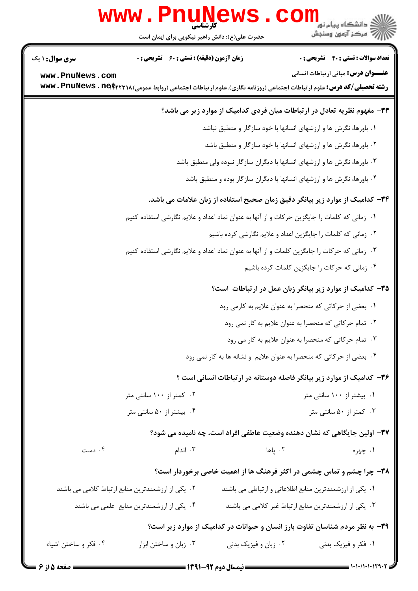|                                                                         | <b>www.PnuNews</b>                                                                                                      |                                                                  |                                                                               |
|-------------------------------------------------------------------------|-------------------------------------------------------------------------------------------------------------------------|------------------------------------------------------------------|-------------------------------------------------------------------------------|
|                                                                         | حضرت علی(ع): دانش راهبر نیکویی برای ایمان است                                                                           |                                                                  | دانشگاه پيام نور ¶<br>ا∛ مرکز آزمون وسنجش                                     |
| <b>سری سوال : ۱ یک</b>                                                  | <b>زمان آزمون (دقیقه) : تستی : 60 ٪ تشریحی : 0</b>                                                                      |                                                                  | <b>تعداد سوالات : تستی : 40 قشریحی : 0</b>                                    |
| www.PnuNews.com                                                         | <b>رشته تحصیلی/کد درس:</b> علوم ارتباطات اجتماعی (روزنامه نگاری)،علوم ارتباطات اجتماعی (روابط عمومی) www . PnuNews . ne |                                                                  | <b>عنـــوان درس:</b> مبانی ارتباطات انسانی                                    |
|                                                                         |                                                                                                                         |                                                                  | ۳۳– مفهوم نظریه تعادل در ارتباطات میان فردی کدامیک از موارد زیر می باشد؟      |
|                                                                         |                                                                                                                         | ۰۱ باورها، نگرش ها و ارزشهای انسانها با خود سازگار و منطبق نباشد |                                                                               |
|                                                                         |                                                                                                                         |                                                                  | ۰۲ باورها، نگرش ها و ارزشهای انسانها با خود سازگار و منطبق باشد               |
|                                                                         | ۰۳ باورها، نگرش ها و ارزشهای انسانها با دیگران سازگار نبوده ولی منطبق باشد                                              |                                                                  |                                                                               |
| ۰۴ باورها، نگرش ها و ارزشهای انسانها با دیگران سازگار بوده و منطبق باشد |                                                                                                                         |                                                                  |                                                                               |
|                                                                         |                                                                                                                         |                                                                  | ۳۴– کدامیک از موارد زیر بیانگر دقیق زمان صحیح استفاده از زبان علامات می باشد. |
|                                                                         | ۰۱ زمانی که کلمات را جایگزین حرکات و از آنها به عنوان نماد اعداد و علایم نگارشی استفاده کنیم                            |                                                                  |                                                                               |
|                                                                         |                                                                                                                         |                                                                  | ۰۲ زمانی که کلمات را جایگزین اعداد و علایم نگارشی کرده باشیم                  |
|                                                                         | ۰۳ زمانی که حرکات را جایگزین کلمات و از آنها به عنوان نماد اعداد و علایم نگارشی استفاده کنیم                            |                                                                  |                                                                               |
|                                                                         |                                                                                                                         |                                                                  | ۰۴ زمانی که حرکات را جایگزین کلمات کرده باشیم                                 |
|                                                                         |                                                                                                                         |                                                                  | ۳۵- کدامیک از موارد زیر بیانگر زبان عمل در ارتباطات است؟                      |
|                                                                         |                                                                                                                         |                                                                  | ۰۱ بعضی از حرکاتی که منحصرا به عنوان علایم به کارمی رود                       |
|                                                                         |                                                                                                                         |                                                                  | ۰۲ تمام حرکاتی که منحصرا به عنوان علایم به کار نمی رود                        |
|                                                                         | ۰۳ تمام حرکاتی که منحصرا به عنوان علایم به کار می رود                                                                   |                                                                  |                                                                               |
|                                                                         |                                                                                                                         |                                                                  | ۰۴ بعضی از حرکاتی که منحصرا به عنوان علایم و نشانه ها به کار نمی رود          |
|                                                                         |                                                                                                                         |                                                                  | ۳۶– کدامیک از موارد زیر بیانگر فاصله دوستانه در ارتباطات انسانی است ؟         |
|                                                                         | ۰۲ کمتر از ۱۰۰ سانتی متر                                                                                                |                                                                  | ۰۱ بیشتر از ۱۰۰ سانتی متر                                                     |
|                                                                         | ۰۴ بیشتر از ۵۰ سانتی متر                                                                                                |                                                                  | ۰۳ کمتر از ۵۰ سانتی متر                                                       |
|                                                                         |                                                                                                                         |                                                                  | ۳۷- اولین جایگاهی که نشان دهنده وضعیت عاطفی افراد است، چه نامیده می شود؟      |
| ۰۴ دست                                                                  | ۰۳ اندام                                                                                                                | ۰۲ پاها                                                          | ۱. چهره                                                                       |
|                                                                         |                                                                                                                         |                                                                  | ۳۸- چرا چشم و تماس چشمی در اکثر فرهنگ ها از اهمیت خاصی برخوردار است؟          |
|                                                                         | ۰۲ یکی از ارزشمندترین منابع ارتباط کلامی می باشند                                                                       |                                                                  | ۰۱ یکی از ارزشمندترین منابع اطلاعاتی و ارتباطی می باشند                       |
|                                                                         | ۰۴ یکی از ارزشمندترین منابع علمی می باشند                                                                               |                                                                  | ۰۳ یکی از ارزشمندترین منابع ارتباط غیر کلامی می باشند                         |
|                                                                         |                                                                                                                         |                                                                  | ۳۹- به نظر مردم شناسان تفاوت بارز انسان و حیوانات در کدامیک از موارد زیر است؟ |
| ۰۴ فکر و ساختن اشیاء                                                    | ۰۳ زبان و ساختن ابزار                                                                                                   | ۰۲ زبان و فیزیک بدنی                                             | ۱. فکر و فیزیک بدنی                                                           |